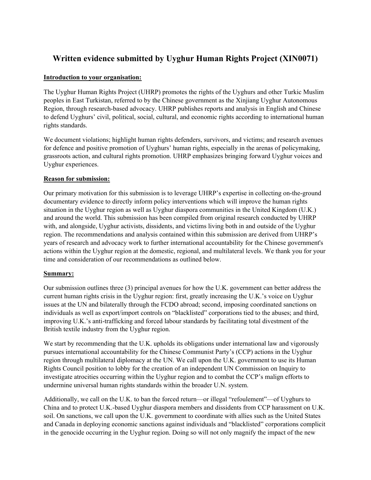# **Written evidence submitted by Uyghur Human Rights Project (XIN0071)**

### **Introduction to your organisation:**

The Uyghur Human Rights Project (UHRP) promotes the rights of the Uyghurs and other Turkic Muslim peoples in East Turkistan, referred to by the Chinese government as the Xinjiang Uyghur Autonomous Region, through research-based advocacy. UHRP publishes reports and analysis in English and Chinese to defend Uyghurs' civil, political, social, cultural, and economic rights according to international human rights standards.

We document violations; highlight human rights defenders, survivors, and victims; and research avenues for defence and positive promotion of Uyghurs' human rights, especially in the arenas of policymaking, grassroots action, and cultural rights promotion. UHRP emphasizes bringing forward Uyghur voices and Uyghur experiences.

### **Reason for submission:**

Our primary motivation for this submission is to leverage UHRP's expertise in collecting on-the-ground documentary evidence to directly inform policy interventions which will improve the human rights situation in the Uyghur region as well as Uyghur diaspora communities in the United Kingdom (U.K.) and around the world. This submission has been compiled from original research conducted by UHRP with, and alongside, Uyghur activists, dissidents, and victims living both in and outside of the Uyghur region. The recommendations and analysis contained within this submission are derived from UHRP's years of research and advocacy work to further international accountability for the Chinese government's actions within the Uyghur region at the domestic, regional, and multilateral levels. We thank you for your time and consideration of our recommendations as outlined below.

### **Summary:**

Our submission outlines three (3) principal avenues for how the U.K. government can better address the current human rights crisis in the Uyghur region: first, greatly increasing the U.K.'s voice on Uyghur issues at the UN and bilaterally through the FCDO abroad; second, imposing coordinated sanctions on individuals as well as export/import controls on "blacklisted" corporations tied to the abuses; and third, improving U.K.'s anti-trafficking and forced labour standards by facilitating total divestment of the British textile industry from the Uyghur region.

We start by recommending that the U.K. upholds its obligations under international law and vigorously pursues international accountability for the Chinese Communist Party's (CCP) actions in the Uyghur region through multilateral diplomacy at the UN. We call upon the U.K. government to use its Human Rights Council position to lobby for the creation of an independent UN Commission on Inquiry to investigate atrocities occurring within the Uyghur region and to combat the CCP's malign efforts to undermine universal human rights standards within the broader U.N. system.

Additionally, we call on the U.K. to ban the forced return—or illegal "refoulement"—of Uyghurs to China and to protect U.K.-based Uyghur diaspora members and dissidents from CCP harassment on U.K. soil. On sanctions, we call upon the U.K. government to coordinate with allies such as the United States and Canada in deploying economic sanctions against individuals and "blacklisted" corporations complicit in the genocide occurring in the Uyghur region. Doing so will not only magnify the impact of the new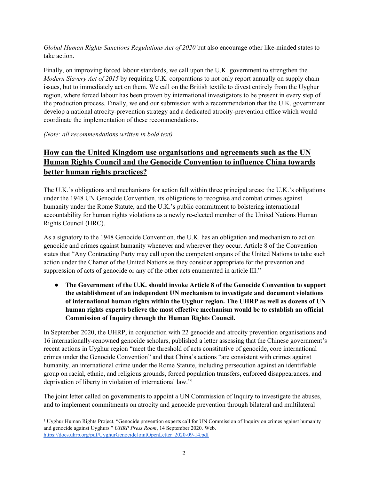*Global Human Rights Sanctions Regulations Act of 2020* but also encourage other like-minded states to take action.

Finally, on improving forced labour standards, we call upon the U.K. government to strengthen the *Modern Slavery Act of 2015* by requiring U.K. corporations to not only report annually on supply chain issues, but to immediately act on them. We call on the British textile to divest entirely from the Uyghur region, where forced labour has been proven by international investigators to be present in every step of the production process. Finally, we end our submission with a recommendation that the U.K. government develop a national atrocity-prevention strategy and a dedicated atrocity-prevention office which would coordinate the implementation of these recommendations.

*(Note: all recommendations written in bold text)*

# **How can the United Kingdom use organisations and agreements such as the UN Human Rights Council and the Genocide Convention to influence China towards better human rights practices?**

The U.K.'s obligations and mechanisms for action fall within three principal areas: the U.K.'s obligations under the 1948 UN Genocide Convention, its obligations to recognise and combat crimes against humanity under the Rome Statute, and the U.K.'s public commitment to bolstering international accountability for human rights violations as a newly re-elected member of the United Nations Human Rights Council (HRC).

As a signatory to the 1948 Genocide Convention, the U.K. has an obligation and mechanism to act on genocide and crimes against humanity whenever and wherever they occur. Article 8 of the Convention states that "Any Contracting Party may call upon the competent organs of the United Nations to take such action under the Charter of the United Nations as they consider appropriate for the prevention and suppression of acts of genocide or any of the other acts enumerated in article III."

● **The Government of the U.K. should invoke Article 8 of the Genocide Convention to support the establishment of an independent UN mechanism to investigate and document violations of international human rights within the Uyghur region. The UHRP as well as dozens of UN human rights experts believe the most effective mechanism would be to establish an official Commission of Inquiry through the Human Rights Council.**

In September 2020, the UHRP, in conjunction with 22 genocide and atrocity prevention organisations and 16 internationally-renowned genocide scholars, published a letter assessing that the Chinese government's recent actions in Uyghur region "meet the threshold of acts constitutive of genocide, core international crimes under the Genocide Convention" and that China's actions "are consistent with crimes against humanity, an international crime under the Rome Statute, including persecution against an identifiable group on racial, ethnic, and religious grounds, forced population transfers, enforced disappearances, and deprivation of liberty in violation of international law."<sup>1</sup>

The joint letter called on governments to appoint a UN Commission of Inquiry to investigate the abuses, and to implement commitments on atrocity and genocide prevention through bilateral and multilateral

<sup>1</sup> Uyghur Human Rights Project, "Genocide prevention experts call for UN Commission of Inquiry on crimes against humanity and genocide against Uyghurs." *UHRP Press Room*, 14 September 2020. Web. [https://docs.uhrp.org/pdf/UyghurGenocideJointOpenLetter\\_2020-09-14.pdf](https://docs.uhrp.org/pdf/UyghurGenocideJointOpenLetter_2020-09-14.pdf)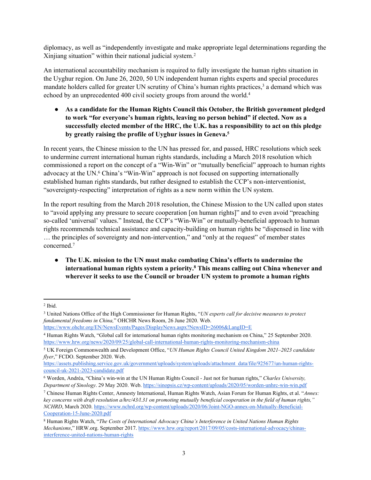diplomacy, as well as "independently investigate and make appropriate legal determinations regarding the Xinjiang situation" within their national judicial system.<sup>2</sup>

An international accountability mechanism is required to fully investigate the human rights situation in the Uyghur region. On June 26, 2020, 50 UN independent human rights experts and special procedures mandate holders called for greater UN scrutiny of China's human rights practices,<sup>3</sup> a demand which was echoed by an unprecedented 400 civil society groups from around the world.<sup>4</sup>

● **As a candidate for the Human Rights Council this October, the British government pledged to work "for everyone's human rights, leaving no person behind" if elected. Now as a successfully elected member of the HRC, the U.K. has a responsibility to act on this pledge by greatly raising the profile of Uyghur issues in Geneva.<sup>5</sup>**

In recent years, the Chinese mission to the UN has pressed for, and passed, HRC resolutions which seek to undermine current international human rights standards, including a March 2018 resolution which commissioned a report on the concept of a "Win-Win" or "mutually beneficial" approach to human rights advocacy at the UN.<sup>6</sup> China's "Win-Win" approach is not focused on supporting internationally established human rights standards, but rather designed to establish the CCP's non-interventionist, "sovereignty-respecting" interpretation of rights as a new norm within the UN system.

In the report resulting from the March 2018 resolution, the Chinese Mission to the UN called upon states to "avoid applying any pressure to secure cooperation [on human rights]" and to even avoid "preaching so-called 'universal' values." Instead, the CCP's "Win-Win" or mutually-beneficial approach to human rights recommends technical assistance and capacity-building on human rights be "dispensed in line with … the principles of sovereignty and non-intervention," and "only at the request" of member states concerned.<sup>7</sup>

● **The U.K. mission to the UN must make combating China's efforts to undermine the international human rights system a priority.<sup>8</sup> This means calling out China whenever and wherever it seeks to use the Council or broader UN system to promote a human rights**

<https://www.ohchr.org/EN/NewsEvents/Pages/DisplayNews.aspx?NewsID=26006&LangID=E>

<sup>2</sup> Ibid.

<sup>3</sup> United Nations Office of the High Commissioner for Human Rights, "*UN experts call for decisive measures to protect fundamental freedoms in China,*" OHCHR News Room, 26 June 2020. Web.

<sup>4</sup> Human Rights Watch, "Global call for international human rights monitoring mechanism on China," 25 September 2020. <https://www.hrw.org/news/2020/09/25/global-call-international-human-rights-monitoring-mechanism-china>

<sup>5</sup> UK Foreign Commonwealth and Development Office, "*UN Human Rights Council United Kingdom 2021–2023 candidate flyer*," FCDO. September 2020. Web.

[https://assets.publishing.service.gov.uk/government/uploads/system/uploads/attachment\\_data/file/925677/un-human-rights](https://assets.publishing.service.gov.uk/government/uploads/system/uploads/attachment_data/file/925677/un-human-rights-council-uk-2021-2023-candidate.pdf)[council-uk-2021-2023-candidate.pdf](https://assets.publishing.service.gov.uk/government/uploads/system/uploads/attachment_data/file/925677/un-human-rights-council-uk-2021-2023-candidate.pdf)

<sup>6</sup> Worden, Andréa, "China's win-win at the UN Human Rights Council - Just not for human rights," *Charles University, Department of Sinology*. 29 May 2020. Web. <https://sinopsis.cz/wp-content/uploads/2020/05/worden-unhrc-win-win.pdf>

<sup>7</sup> Chinese Human Rights Center, Amnesty International, Human Rights Watch, Asian Forum for Human Rights, et al. "*Annex:* key concerns with draft resolution a/hrc/43/1.31 on promoting mutually beneficial cooperation in the field of human rights," *NCHRD*, March 2020. [https://www.nchrd.org/wp-content/uploads/2020/06/Joint-NGO-annex-on-Mutually-Beneficial-](https://www.nchrd.org/wp-content/uploads/2020/06/Joint-NGO-annex-on-Mutually-Beneficial-Cooperation-15-June-2020.pdf)[Cooperation-15-June-2020.pdf](https://www.nchrd.org/wp-content/uploads/2020/06/Joint-NGO-annex-on-Mutually-Beneficial-Cooperation-15-June-2020.pdf)

<sup>8</sup> Human Rights Watch, "*The Costs of International Advocacy China's Interference in United Nations Human Rights Mechanisms*," HRW.org. September 2017. [https://www.hrw.org/report/2017/09/05/costs-international-advocacy/chinas](https://www.hrw.org/report/2017/09/05/costs-international-advocacy/chinas-interference-united-nations-human-rights)[interference-united-nations-human-rights](https://www.hrw.org/report/2017/09/05/costs-international-advocacy/chinas-interference-united-nations-human-rights)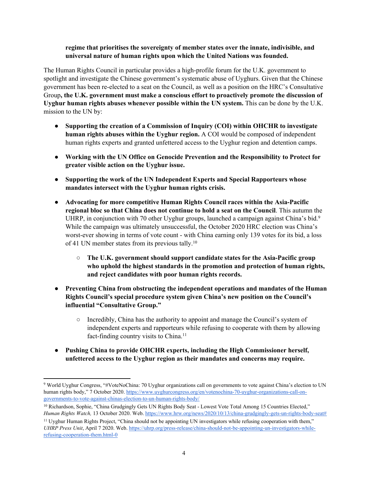### **regime that prioritises the sovereignty of member states over the innate, indivisible, and universal nature of human rights upon which the United Nations was founded.**

The Human Rights Council in particular provides a high-profile forum for the U.K. government to spotlight and investigate the Chinese government's systematic abuse of Uyghurs. Given that the Chinese government has been re-elected to a seat on the Council, as well as a position on the HRC's Consultative Group**, the U.K. government must make a conscious effort to proactively promote the discussion of Uyghur human rights abuses whenever possible within the UN system.** This can be done by the U.K. mission to the UN by:

- **Supporting the creation of a Commission of Inquiry (COI) within OHCHR to investigate human rights abuses within the Uyghur region.** A COI would be composed of independent human rights experts and granted unfettered access to the Uyghur region and detention camps.
- **Working with the UN Office on Genocide Prevention and the Responsibility to Protect for greater visible action on the Uyghur issue.**
- **Supporting the work of the UN Independent Experts and Special Rapporteurs whose mandates intersect with the Uyghur human rights crisis.**
- **Advocating for more competitive Human Rights Council races within the Asia-Pacific regional bloc so that China does not continue to hold a seat on the Council**. This autumn the UHRP, in conjunction with 70 other Uyghur groups, launched a campaign against China's bid.<sup>9</sup> While the campaign was ultimately unsuccessful, the October 2020 HRC election was China's worst-ever showing in terms of vote count - with China earning only 139 votes for its bid, a loss of 41 UN member states from its previous tally.<sup>10</sup>
	- **The U.K. government should support candidate states for the Asia-Pacific group who uphold the highest standards in the promotion and protection of human rights, and reject candidates with poor human rights records.**
- **Preventing China from obstructing the independent operations and mandates of the Human Rights Council's special procedure system given China's new position on the Council's influential "Consultative Group."**
	- Incredibly, China has the authority to appoint and manage the Council's system of independent experts and rapporteurs while refusing to cooperate with them by allowing fact-finding country visits to China.<sup>11</sup>
- **Pushing China to provide OHCHR experts, including the High Commissioner herself, unfettered access to the Uyghur region as their mandates and concerns may require.**

<sup>9</sup> World Uyghur Congress, "#VoteNoChina: 70 Uyghur organizations call on governments to vote against China's election to UN human rights body," 7 October 2020. [https://www.uyghurcongress.org/en/votenochina-70-uyghur-organizations-call-on](https://www.uyghurcongress.org/en/votenochina-70-uyghur-organizations-call-on-governments-to-vote-against-chinas-election-to-un-human-rights-body/)[governments-to-vote-against-chinas-election-to-un-human-rights-body/](https://www.uyghurcongress.org/en/votenochina-70-uyghur-organizations-call-on-governments-to-vote-against-chinas-election-to-un-human-rights-body/)

<sup>&</sup>lt;sup>10</sup> Richardson, Sophie, "China Grudgingly Gets UN Rights Body Seat - Lowest Vote Total Among 15 Countries Elected," *Human Rights Watch,* 13 October 2020. Web. [https://www.hrw.org/news/2020/10/13/china-grudgingly-gets-un-rights-body-seat#](https://www.hrw.org/news/2020/10/13/china-grudgingly-gets-un-rights-body-seat)

<sup>11</sup> Uyghur Human Rights Project, "China should not be appointing UN investigators while refusing cooperation with them," *UHRP Press Unit*, April 7 2020. Web. [https://uhrp.org/press-release/china-should-not-be-appointing-un-investigators-while](https://uhrp.org/press-release/china-should-not-be-appointing-un-investigators-while-refusing-cooperation-them.html-0)[refusing-cooperation-them.html-0](https://uhrp.org/press-release/china-should-not-be-appointing-un-investigators-while-refusing-cooperation-them.html-0)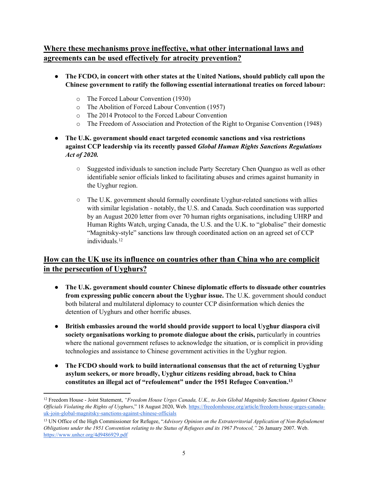# **Where these mechanisms prove ineffective, what other international laws and agreements can be used effectively for atrocity prevention?**

- **The FCDO, in concert with other states at the United Nations, should publicly call upon the Chinese government to ratify the following essential international treaties on forced labour:**
	- o The Forced Labour Convention (1930)
	- o The Abolition of Forced Labour Convention (1957)
	- o The 2014 Protocol to the Forced Labour Convention
	- o The Freedom of Association and Protection of the Right to Organise Convention (1948)
- **The U.K. government should enact targeted economic sanctions and visa restrictions against CCP leadership via its recently passed** *Global Human Rights Sanctions Regulations Act of 2020.*
	- Suggested individuals to sanction include Party Secretary Chen Quanguo as well as other identifiable senior officials linked to facilitating abuses and crimes against humanity in the Uyghur region.
	- $\circ$  The U.K. government should formally coordinate Uyghur-related sanctions with allies with similar legislation - notably, the U.S. and Canada. Such coordination was supported by an August 2020 letter from over 70 human rights organisations, including UHRP and Human Rights Watch, urging Canada, the U.S. and the U.K. to "globalise" their domestic "Magnitsky-style" sanctions law through coordinated action on an agreed set of CCP individuals.<sup>12</sup>

# **How can the UK use its influence on countries other than China who are complicit in the persecution of Uyghurs?**

- **The U.K. government should counter Chinese diplomatic efforts to dissuade other countries from expressing public concern about the Uyghur issue.** The U.K. government should conduct both bilateral and multilateral diplomacy to counter CCP disinformation which denies the detention of Uyghurs and other horrific abuses.
- **British embassies around the world should provide support to local Uyghur diaspora civil society organisations working to promote dialogue about the crisis,** particularly in countries where the national government refuses to acknowledge the situation, or is complicit in providing technologies and assistance to Chinese government activities in the Uyghur region.
- **The FCDO should work to build international consensus that the act of returning Uyghur asylum seekers, or more broadly, Uyghur citizens residing abroad, back to China constitutes an illegal act of "refoulement" under the 1951 Refugee Convention.<sup>13</sup>**

<sup>12</sup> Freedom House - Joint Statement, *"Freedom House Urges Canada, U.K., to Join Global Magnitsky Sanctions Against Chinese Officials Violating the Rights of Uyghurs*," 18 August 2020, Web. [https://freedomhouse.org/article/freedom-house-urges-canada](https://freedomhouse.org/article/freedom-house-urges-canada-uk-join-global-magnitsky-sanctions-against-chinese-officials)[uk-join-global-magnitsky-sanctions-against-chinese-officials](https://freedomhouse.org/article/freedom-house-urges-canada-uk-join-global-magnitsky-sanctions-against-chinese-officials)

<sup>13</sup> UN Office of the High Commissioner for Refugee, "*Advisory Opinion on the Extraterritorial Application of Non-Refoulement Obligations under the 1951 Convention relating to the Status of Refugees and its 1967 Protocol,"* 26 January 2007. Web. <https://www.unhcr.org/4d9486929.pdf>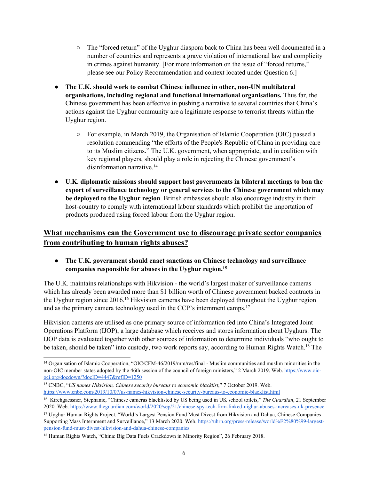- The "forced return" of the Uyghur diaspora back to China has been well documented in a number of countries and represents a grave violation of international law and complicity in crimes against humanity. [For more information on the issue of "forced returns," please see our Policy Recommendation and context located under Question 6.]
- **The U.K. should work to combat Chinese influence in other, non-UN multilateral organisations, including regional and functional international organisations.** Thus far, the Chinese government has been effective in pushing a narrative to several countries that China's actions against the Uyghur community are a legitimate response to terrorist threats within the Uyghur region.
	- For example, in March 2019, the Organisation of Islamic Cooperation (OIC) passed a resolution commending "the efforts of the People's Republic of China in providing care to its Muslim citizens." The U.K. government, when appropriate, and in coalition with key regional players, should play a role in rejecting the Chinese government's disinformation narrative.<sup>14</sup>
- **U.K. diplomatic missions should support host governments in bilateral meetings to ban the export of surveillance technology or general services to the Chinese government which may be deployed to the Uyghur region**. British embassies should also encourage industry in their host-country to comply with international labour standards which prohibit the importation of products produced using forced labour from the Uyghur region.

### **What mechanisms can the Government use to discourage private sector companies from contributing to human rights abuses?**

● **The U.K. government should enact sanctions on Chinese technology and surveillance companies responsible for abuses in the Uyghur region.<sup>15</sup>**

The U.K. maintains relationships with Hikvision - the world's largest maker of surveillance cameras which has already been awarded more than \$1 billion worth of Chinese government backed contracts in the Uyghur region since 2016.<sup>16</sup> Hikvision cameras have been deployed throughout the Uyghur region and as the primary camera technology used in the CCP's internment camps.<sup>17</sup>

Hikvision cameras are utilised as one primary source of information fed into China's Integrated Joint Operations Platform (IJOP), a large database which receives and stores information about Uyghurs. The IJOP data is evaluated together with other sources of information to determine individuals "who ought to be taken, should be taken" into custody, two work reports say, according to Human Rights Watch.<sup>18</sup> The

<sup>&</sup>lt;sup>14</sup> Organisation of Islamic Cooperation, "OIC/CFM-46/2019/mm/res/final - Muslim communities and muslim minorities in the non-OIC member states adopted by the 46th session of the council of foreign ministers," 2 March 2019. Web. [https://www.oic](https://www.oic-oci.org/docdown/?docID=4447&refID=1250)[oci.org/docdown/?docID=4447&refID=1250](https://www.oic-oci.org/docdown/?docID=4447&refID=1250)

<sup>15</sup> CNBC, "*US names Hikvision, Chinese security bureaus to economic blacklist*," 7 October 2019. Web. <https://www.cnbc.com/2019/10/07/us-names-hikvision-chinese-security-bureaus-to-economic-blacklist.html>

<sup>16</sup> Kirchgaessner, Stephanie, "Chinese cameras blacklisted by US being used in UK school toilets," *The Guardian*, 21 September 2020. Web. <https://www.theguardian.com/world/2020/sep/21/chinese-spy-tech-firm-linked-uighur-abuses-increases-uk-presence>

<sup>17</sup> Uyghur Human Rights Project, "World's Largest Pension Fund Must Divest from Hikvision and Dahua, Chinese Companies Supporting Mass Internment and Surveillance," 13 March 2020. Web. [https://uhrp.org/press-release/world%E2%80%99-largest](https://uhrp.org/press-release/world%E2%80%99-largest-pension-fund-must-divest-hikvision-and-dahua-chinese-companies)[pension-fund-must-divest-hikvision-and-dahua-chinese-companies](https://uhrp.org/press-release/world%E2%80%99-largest-pension-fund-must-divest-hikvision-and-dahua-chinese-companies)

<sup>18</sup> Human Rights Watch, "China: Big Data Fuels Crackdown in Minority Region", 26 February 2018.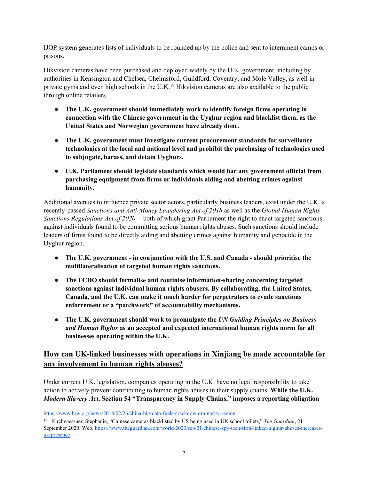IJOP system generates lists of individuals to be rounded up by the police and sent to internment camps or prisons.

Hikvision cameras have been purchased and deployed widely by the U.K. government, including by authorities in Kensington and Chelsea, Chelmsford, Guildford, Coventry, and Mole Valley, as well in private gyms and even high schools in the U.K.<sup>19</sup> Hikvision cameras are also available to the public through online retailers.

- **The U.K. government should immediately work to identify foreign firms operating in connection with the Chinese government in the Uyghur region and blacklist them, as the United States and Norwegian government have already done.**
- **The U.K. government must investigate current procurement standards for surveillance technologies at the local and national level and prohibit the purchasing of technologies used to subjugate, harass, and detain Uyghurs.**
- **U.K. Parliament should legislate standards which would bar any government official from purchasing equipment from firms or individuals aiding and abetting crimes against humanity.**

Additional avenues to influence private sector actors, particularly business leaders, exist under the U.K.'s recently-passed *Sanctions and Anti-Money Laundering Act of 2018* as well as the *Global Human Rights Sanctions Regulations Act of 2020* -- both of which grant Parliament the right to enact targeted sanctions against individuals found to be committing serious human rights abuses. Such sanctions should include leaders of firms found to be directly aiding and abetting crimes against humanity and genocide in the Uyghur region.

- **The U.K. government - in conjunction with the U.S. and Canada - should prioritise the multilateralisation of targeted human rights sanctions.**
- **The FCDO should formalise and routinise information-sharing concerning targeted sanctions against individual human rights abusers. By collaborating, the United States, Canada, and the U.K. can make it much harder for perpetrators to evade sanctions enforcement or a "patchwork" of accountability mechanisms.**
- **The U.K. government should work to promulgate the** *UN Guiding Principles on Business and Human Rights* **as an accepted and expected international human rights norm for all businesses operating within the U.K.**

# **How can UK-linked businesses with operations in Xinjiang be made accountable for any involvement in human rights abuses?**

Under current U.K. legislation, companies operating in the U.K. have no legal responsibility to take action to actively prevent contributing to human rights abuses in their supply chains. **While the U.K.** *Modern Slavery Act***, Section 54 "Transparency in Supply Chains," imposes a reporting obligation**

<https://www.hrw.org/news/2018/02/26/china-big-data-fuels-crackdown-minority-region>

<sup>19</sup> Kirchgaessner, Stephanie, "Chinese cameras blacklisted by US being used in UK school toilets," *The Guardian*, 21 September 2020. Web. [https://www.theguardian.com/world/2020/sep/21/chinese-spy-tech-firm-linked-uighur-abuses-increases](https://www.theguardian.com/world/2020/sep/21/chinese-spy-tech-firm-linked-uighur-abuses-increases-uk-presence)[uk-presence](https://www.theguardian.com/world/2020/sep/21/chinese-spy-tech-firm-linked-uighur-abuses-increases-uk-presence)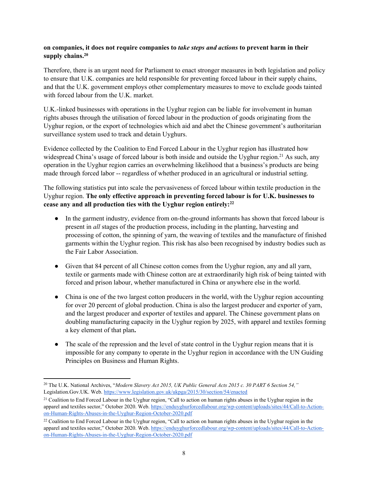### **on companies, it does not require companies to** *take steps and actions* **to prevent harm in their supply chains.<sup>20</sup>**

Therefore, there is an urgent need for Parliament to enact stronger measures in both legislation and policy to ensure that U.K. companies are held responsible for preventing forced labour in their supply chains, and that the U.K. government employs other complementary measures to move to exclude goods tainted with forced labour from the U.K. market.

U.K.-linked businesses with operations in the Uyghur region can be liable for involvement in human rights abuses through the utilisation of forced labour in the production of goods originating from the Uyghur region, or the export of technologies which aid and abet the Chinese government's authoritarian surveillance system used to track and detain Uyghurs.

Evidence collected by the Coalition to End Forced Labour in the Uyghur region has illustrated how widespread China's usage of forced labour is both inside and outside the Uyghur region.<sup>21</sup> As such, any operation in the Uyghur region carries an overwhelming likelihood that a business's products are being made through forced labor -- regardless of whether produced in an agricultural or industrial setting.

The following statistics put into scale the pervasiveness of forced labour within textile production in the Uyghur region. **The only effective approach in preventing forced labour is for U.K. businesses to cease any and all production ties with the Uyghur region entirely:<sup>22</sup>**

- In the garment industry, evidence from on-the-ground informants has shown that forced labour is present in *all* stages of the production process, including in the planting, harvesting and processing of cotton, the spinning of yarn, the weaving of textiles and the manufacture of finished garments within the Uyghur region. This risk has also been recognised by industry bodies such as the Fair Labor Association.
- Given that 84 percent of all Chinese cotton comes from the Uyghur region, any and all yarn, textile or garments made with Chinese cotton are at extraordinarily high risk of being tainted with forced and prison labour, whether manufactured in China or anywhere else in the world.
- China is one of the two largest cotton producers in the world, with the Uyghur region accounting for over 20 percent of global production. China is also the largest producer and exporter of yarn, and the largest producer and exporter of textiles and apparel. The Chinese government plans on doubling manufacturing capacity in the Uyghur region by 2025, with apparel and textiles forming a key element of that plan**.**
- The scale of the repression and the level of state control in the Uyghur region means that it is impossible for any company to operate in the Uyghur region in accordance with the UN Guiding Principles on Business and Human Rights.

<sup>20</sup> The U.K. National Archives, "*Modern Slavery Act 2015, UK Public General Acts 2015 c. 30 PART 6 Section 54,"* Legislation.Gov.UK. Web. <https://www.legislation.gov.uk/ukpga/2015/30/section/54/enacted>

<sup>21</sup> Coalition to End Forced Labour in the Uyghur region, "Call to action on human rights abuses in the Uyghur region in the apparel and textiles sector," October 2020. Web. [https://enduyghurforcedlabour.org/wp-content/uploads/sites/44/Call-to-Action](https://enduyghurforcedlabour.org/wp-content/uploads/sites/44/Call-to-Action-on-Human-Rights-Abuses-in-the-Uyghur-Region-October-2020.pdf)[on-Human-Rights-Abuses-in-the-Uyghur-Region-October-2020.pdf](https://enduyghurforcedlabour.org/wp-content/uploads/sites/44/Call-to-Action-on-Human-Rights-Abuses-in-the-Uyghur-Region-October-2020.pdf)

<sup>&</sup>lt;sup>22</sup> Coalition to End Forced Labour in the Uyghur region, "Call to action on human rights abuses in the Uyghur region in the apparel and textiles sector," October 2020. Web. [https://enduyghurforcedlabour.org/wp-content/uploads/sites/44/Call-to-Action](https://enduyghurforcedlabour.org/wp-content/uploads/sites/44/Call-to-Action-on-Human-Rights-Abuses-in-the-Uyghur-Region-October-2020.pdf)[on-Human-Rights-Abuses-in-the-Uyghur-Region-October-2020.pdf](https://enduyghurforcedlabour.org/wp-content/uploads/sites/44/Call-to-Action-on-Human-Rights-Abuses-in-the-Uyghur-Region-October-2020.pdf)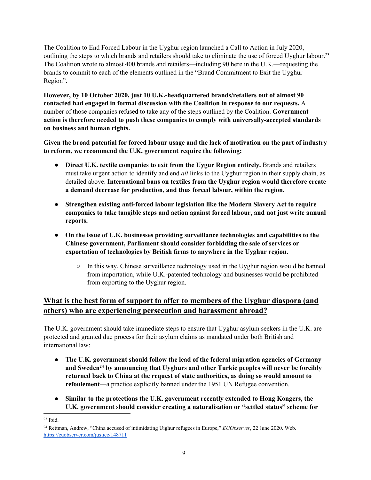The Coalition to End Forced Labour in the Uyghur region launched a Call to Action in July 2020, outlining the steps to which brands and retailers should take to eliminate the use of forced Uyghur labour.<sup>23</sup> The Coalition wrote to almost 400 brands and retailers—including 90 here in the U.K.—requesting the brands to commit to each of the elements outlined in the "Brand Commitment to Exit the Uyghur Region".

**However, by 10 October 2020, just 10 U.K.-headquartered brands/retailers out of almost 90 contacted had engaged in formal discussion with the Coalition in response to our requests.** A number of those companies refused to take any of the steps outlined by the Coalition. **Government action is therefore needed to push these companies to comply with universally-accepted standards on business and human rights.**

Given the broad potential for forced labour usage and the lack of motivation on the part of industry **to reform, we recommend the U.K. government require the following:**

- **Direct U.K. textile companies to exit from the Uygur Region entirely.** Brands and retailers must take urgent action to identify and end *all* links to the Uyghur region in their supply chain, as detailed above. **International bans on textiles from the Uyghur region would therefore create a demand decrease for production, and thus forced labour, within the region.**
- **Strengthen existing anti-forced labour legislation like the Modern Slavery Act to require companies to take tangible steps and action against forced labour, and not just write annual reports.**
- **On the issue of U.K. businesses providing surveillance technologies and capabilities to the Chinese government, Parliament should consider forbidding the sale of services or exportation of technologies by British firms to anywhere in the Uyghur region.**
	- $\circ$  In this way, Chinese surveillance technology used in the Uyghur region would be banned from importation, while U.K.-patented technology and businesses would be prohibited from exporting to the Uyghur region.

# **What is the best form of support to offer to members of the Uyghur diaspora (and others) who are experiencing persecution and harassment abroad?**

The U.K. government should take immediate steps to ensure that Uyghur asylum seekers in the U.K. are protected and granted due process for their asylum claims as mandated under both British and international law:

- **The U.K. government should follow the lead of the federal migration agencies of Germany and Sweden<sup>24</sup> by announcing that Uyghurs and other Turkic peoples will never be forcibly returned back to China at the request of state authorities, as doing so would amount to refoulement**—a practice explicitly banned under the 1951 UN Refugee convention.
- **Similar to the protections the U.K. government recently extended to Hong Kongers, the U.K. government should consider creating a naturalisation or "settled status" scheme for**

 $23$  Ibid.

<sup>24</sup> Rettman, Andrew, "China accused of intimidating Uighur refugees in Europe," *EUObserver*, 22 June 2020. Web. <https://euobserver.com/justice/148711>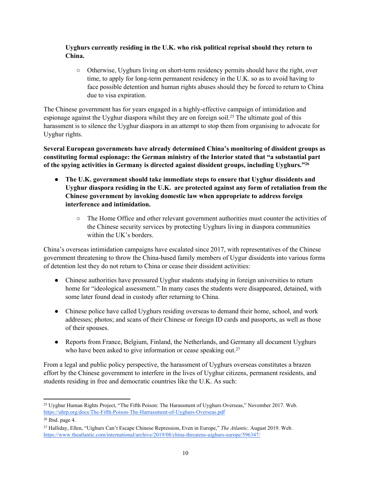### **Uyghurs currently residing in the U.K. who risk political reprisal should they return to China.**

○ Otherwise, Uyghurs living on short-term residency permits should have the right, over time, to apply for long-term permanent residency in the U.K. so as to avoid having to face possible detention and human rights abuses should they be forced to return to China due to visa expiration.

The Chinese government has for years engaged in a highly-effective campaign of intimidation and espionage against the Uyghur diaspora whilst they are on foreign soil.<sup>25</sup> The ultimate goal of this harassment is to silence the Uyghur diaspora in an attempt to stop them from organising to advocate for Uyghur rights.

**Several European governments have already determined China's monitoring of dissident groups as constituting formal espionage: the German ministry of the Interior stated that "a substantial part of the spying activities in Germany is directed against dissident groups, including Uyghurs."<sup>26</sup>**

- **The U.K. government should take immediate steps to ensure that Uyghur dissidents and Uyghur diaspora residing in the U.K. are protected against any form of retaliation from the Chinese government by invoking domestic law when appropriate to address foreign interference and intimidation.**
	- The Home Office and other relevant government authorities must counter the activities of the Chinese security services by protecting Uyghurs living in diaspora communities within the UK's borders.

China's overseas intimidation campaigns have escalated since 2017, with representatives of the Chinese government threatening to throw the China-based family members of Uygur dissidents into various forms of detention lest they do not return to China or cease their dissident activities:

- Chinese authorities have pressured Uyghur students studying in foreign universities to return home for "ideological assessment." In many cases the students were disappeared, detained, with some later found dead in custody after returning to China.
- Chinese police have called Uyghurs residing overseas to demand their home, school, and work addresses; photos; and scans of their Chinese or foreign ID cards and passports, as well as those of their spouses.
- Reports from France, Belgium, Finland, the Netherlands, and Germany all document Uyghurs who have been asked to give information or cease speaking out.<sup>27</sup>

From a legal and public policy perspective, the harassment of Uyghurs overseas constitutes a brazen effort by the Chinese government to interfere in the lives of Uyghur citizens, permanent residents, and students residing in free and democratic countries like the U.K. As such:

<sup>25</sup> Uyghur Human Rights Project, "The Fifth Poison: The Harassment of Uyghurs Overseas," November 2017. Web. <https://uhrp.org/docs/The-Fifth-Poison-The-Harrassment-of-Uyghurs-Overseas.pdf>

<sup>26</sup> Ibid. page 4.

<sup>27</sup> Halliday, Ellen, "Uighurs Can't Escape Chinese Repression, Even in Europe," *The Atlantic,* August 2019. Web. <https://www.theatlantic.com/international/archive/2019/08/china-threatens-uighurs-europe/596347/>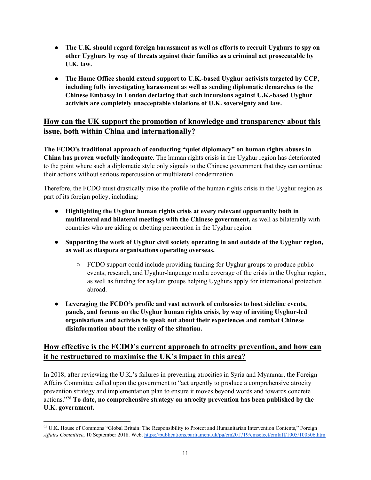- **The U.K. should regard foreign harassment as well as efforts to recruit Uyghurs to spy on other Uyghurs by way of threats against their families as a criminal act prosecutable by U.K. law.**
- **The Home Office should extend support to U.K.-based Uyghur activists targeted by CCP, including fully investigating harassment as well as sending diplomatic demarches to the Chinese Embassy in London declaring that such incursions against U.K.-based Uyghur activists are completely unacceptable violations of U.K. sovereignty and law.**

### **How can the UK support the promotion of knowledge and transparency about this issue, both within China and internationally?**

**The FCDO's traditional approach of conducting "quiet diplomacy" on human rights abuses in China has proven woefully inadequate.** The human rights crisis in the Uyghur region has deteriorated to the point where such a diplomatic style only signals to the Chinese government that they can continue their actions without serious repercussion or multilateral condemnation.

Therefore, the FCDO must drastically raise the profile of the human rights crisis in the Uyghur region as part of its foreign policy, including:

- **Highlighting the Uyghur human rights crisis at every relevant opportunity both in multilateral and bilateral meetings with the Chinese government,** as well as bilaterally with countries who are aiding or abetting persecution in the Uyghur region.
- **Supporting the work of Uyghur civil society operating in and outside of the Uyghur region, as well as diaspora organisations operating overseas.**
	- FCDO support could include providing funding for Uyghur groups to produce public events, research, and Uyghur-language media coverage of the crisis in the Uyghur region, as well as funding for asylum groups helping Uyghurs apply for international protection abroad.
- **Leveraging the FCDO's profile and vast network of embassies to host sideline events, panels, and forums on the Uyghur human rights crisis, by way of inviting Uyghur-led organisations and activists to speak out about their experiences and combat Chinese disinformation about the reality of the situation.**

# **How effective is the FCDO's current approach to atrocity prevention, and how can it be restructured to maximise the UK's impact in this area?**

In 2018, after reviewing the U.K.'s failures in preventing atrocities in Syria and Myanmar, the Foreign Affairs Committee called upon the government to "act urgently to produce a comprehensive atrocity prevention strategy and implementation plan to ensure it moves beyond words and towards concrete actions."<sup>28</sup> **To date, no comprehensive strategy on atrocity prevention has been published by the U.K. government.** 

<sup>28</sup> U.K. House of Commons "Global Britain: The Responsibility to Protect and Humanitarian Intervention Contents," Foreign *Affairs Committee*, 10 September 2018. Web. <https://publications.parliament.uk/pa/cm201719/cmselect/cmfaff/1005/100506.htm>